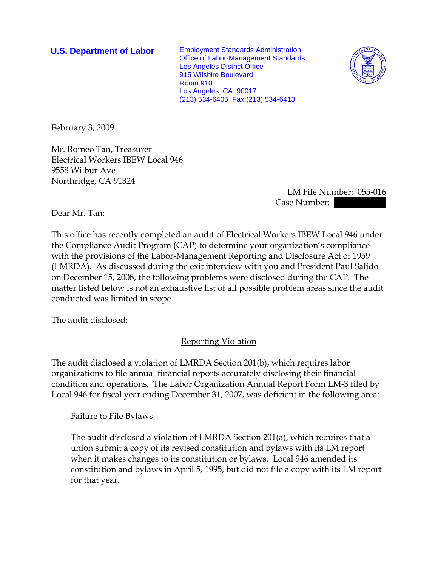**U.S. Department of Labor** Employment Standards Administration Office of Labor-Management Standards Los Angeles District Office 915 Wilshire Boulevard Room 910 Los Angeles, CA 90017 (213) 534-6405 Fax:(213) 534-6413



February 3, 2009

Mr. Romeo Tan, Treasurer Electrical Workers IBEW Local 946 9558 Wilbur Ave Northridge, CA 91324

> LM File Number: 055-016 Case Number:

Dear Mr. Tan:

This office has recently completed an audit of Electrical Workers IBEW Local 946 under the Compliance Audit Program (CAP) to determine your organization's compliance with the provisions of the Labor-Management Reporting and Disclosure Act of 1959 (LMRDA). As discussed during the exit interview with you and President Paul Salido on December 15, 2008, the following problems were disclosed during the CAP. The matter listed below is not an exhaustive list of all possible problem areas since the audit conducted was limited in scope.

The audit disclosed:

Reporting Violation

The audit disclosed a violation of LMRDA Section 201(b), which requires labor organizations to file annual financial reports accurately disclosing their financial condition and operations. The Labor Organization Annual Report Form LM-3 filed by Local 946 for fiscal year ending December 31, 2007, was deficient in the following area:

Failure to File Bylaws

The audit disclosed a violation of LMRDA Section 201(a), which requires that a union submit a copy of its revised constitution and bylaws with its LM report when it makes changes to its constitution or bylaws. Local 946 amended its constitution and bylaws in April 5, 1995, but did not file a copy with its LM report for that year.